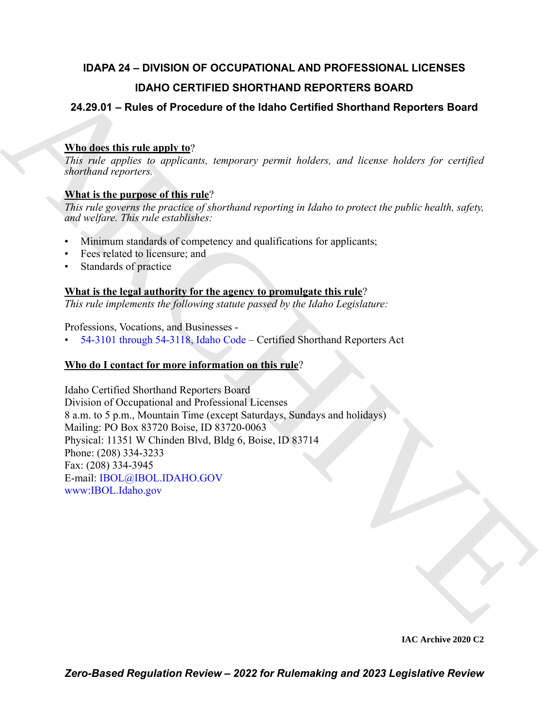## **IDAPA 24 – DIVISION OF OCCUPATIONAL AND PROFESSIONAL LICENSES IDAHO CERTIFIED SHORTHAND REPORTERS BOARD**

### **24.29.01 – Rules of Procedure of the Idaho Certified Shorthand Reporters Board**

#### **Who does this rule apply to**?

*This rule applies to applicants, temporary permit holders, and license holders for certified shorthand reporters.*

#### **What is the purpose of this rule**?

*This rule governs the practice of shorthand reporting in Idaho to protect the public health, safety, and welfare. This rule establishes:*

- Minimum standards of competency and qualifications for applicants;
- Fees related to licensure; and
- Standards of practice

#### **What is the legal authority for the agency to promulgate this rule**?

*This rule implements the following statute passed by the Idaho Legislature:*

Professions, Vocations, and Businesses -

• 54-3101 through 54-3118, Idaho Code – Certified Shorthand Reporters Act

### **Who do I contact for more information on this rule**?

IDAHO C[E](http://www.ibol.idaho.gov/)RTIFIED SHORTHAND REPORTERS BOARD<br>
24.29.94 – Rules of Procedure of the Idaho Certified Shorthand Reporters Board<br>
What the Chilich University of the Idaho Certified Shorthand Reporters Board<br>
7bis risk capitals t Idaho Certified Shorthand Reporters Board Division of Occupational and Professional Licenses 8 a.m. to 5 p.m., Mountain Time (except Saturdays, Sundays and holidays) Mailing: PO Box 83720 Boise, ID 83720-0063 Physical: 11351 W Chinden Blvd, Bldg 6, Boise, ID 83714 Phone: (208) 334-3233 Fax: (208) 334-3945 E-mail: IBOL@IBOL.IDAHO.GOV www:IBOL.Idaho.gov

**IAC Archive 2020 C2**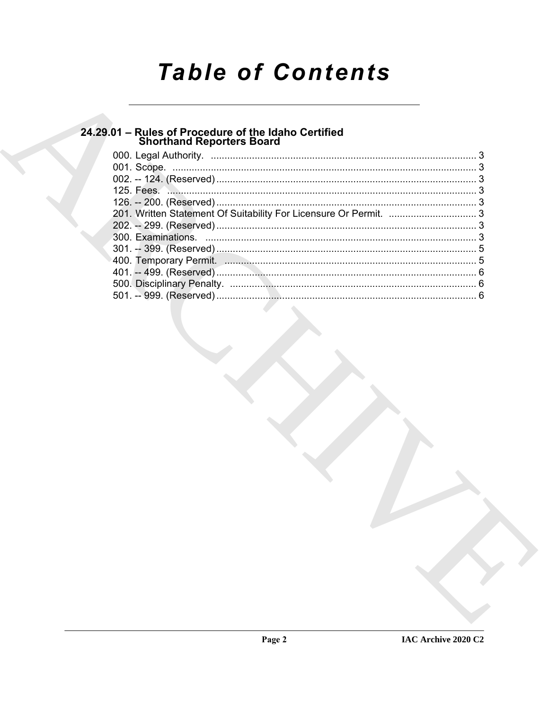# **Table of Contents**

## 24.29.01 - Rules of Procedure of the Idaho Certified<br>Shorthand Reporters Board

| 125. Fees. 2. 2. 2. 2. 2. 2. 2. 2. 3. 3. 2. 2. 2. 2. 3. 3. 2. 2. 2. 2. 2. 3. 2. 2. 2. 2. 2. 2. 2. 2. 2. 2. 2. 3 |  |
|-----------------------------------------------------------------------------------------------------------------|--|
|                                                                                                                 |  |
| 201. Written Statement Of Suitability For Licensure Or Permit.  3                                               |  |
|                                                                                                                 |  |
|                                                                                                                 |  |
|                                                                                                                 |  |
|                                                                                                                 |  |
|                                                                                                                 |  |
|                                                                                                                 |  |
|                                                                                                                 |  |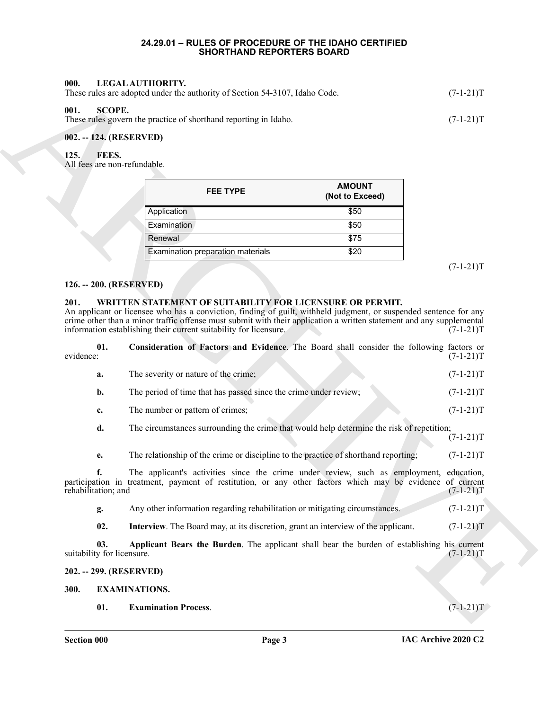#### **24.29.01 – RULES OF PROCEDURE OF THE IDAHO CERTIFIED SHORTHAND REPORTERS BOARD**

<span id="page-2-13"></span><span id="page-2-12"></span><span id="page-2-4"></span><span id="page-2-3"></span><span id="page-2-2"></span><span id="page-2-1"></span><span id="page-2-0"></span>

| LEGAL AUTHORITY.<br>000.<br>These rules are adopted under the authority of Section 54-3107, Idaho Code. | $(7-1-21)T$ |
|---------------------------------------------------------------------------------------------------------|-------------|
| 001.<br>SCOPE.<br>These rules govern the practice of shorthand reporting in Idaho.                      | $(7-1-21)T$ |
| 002. -- 124. (RESERVED)                                                                                 |             |

<span id="page-2-11"></span>

| <b>FEE TYPE</b>                   | <b>AMOUNT</b><br>(Not to Exceed) |
|-----------------------------------|----------------------------------|
| Application                       | \$50                             |
| Examination                       | \$50                             |
| Renewal                           | \$75                             |
| Examination preparation materials | \$20                             |

#### <span id="page-2-5"></span>**126. -- 200. (RESERVED)**

#### <span id="page-2-16"></span><span id="page-2-14"></span><span id="page-2-6"></span>**201. WRITTEN STATEMENT OF SUITABILITY FOR LICENSURE OR PERMIT.**

| 000.      |                                   | LEGAL AUTHORITY.<br>These rules are adopted under the authority of Section 54-3107, Idaho Code.                                                                                                                                                                                                                                                                             | $(7-1-21)T$ |
|-----------|-----------------------------------|-----------------------------------------------------------------------------------------------------------------------------------------------------------------------------------------------------------------------------------------------------------------------------------------------------------------------------------------------------------------------------|-------------|
| 001.      | <b>SCOPE.</b>                     | These rules govern the practice of shorthand reporting in Idaho.                                                                                                                                                                                                                                                                                                            | $(7-1-21)T$ |
|           |                                   | 002. -- 124. (RESERVED)                                                                                                                                                                                                                                                                                                                                                     |             |
| 125.      | FEES.                             | All fees are non-refundable.                                                                                                                                                                                                                                                                                                                                                |             |
|           |                                   | <b>AMOUNT</b><br><b>FEE TYPE</b><br>(Not to Exceed)                                                                                                                                                                                                                                                                                                                         |             |
|           |                                   | Application<br>\$50                                                                                                                                                                                                                                                                                                                                                         |             |
|           |                                   | Examination<br>\$50                                                                                                                                                                                                                                                                                                                                                         |             |
|           |                                   | Renewal<br>\$75                                                                                                                                                                                                                                                                                                                                                             |             |
|           |                                   | Examination preparation materials<br>\$20                                                                                                                                                                                                                                                                                                                                   | $(7-1-21)T$ |
|           |                                   | 126. -- 200. (RESERVED)                                                                                                                                                                                                                                                                                                                                                     |             |
| 201.      |                                   | WRITTEN STATEMENT OF SUITABILITY FOR LICENSURE OR PERMIT.<br>An applicant or licensee who has a conviction, finding of guilt, withheld judgment, or suspended sentence for any<br>crime other than a minor traffic offense must submit with their application a written statement and any supplemental<br>information establishing their current suitability for licensure. | $(7-1-21)T$ |
| evidence: | 01.                               | Consideration of Factors and Evidence. The Board shall consider the following factors or                                                                                                                                                                                                                                                                                    | $(7-1-21)T$ |
|           | a.                                | The severity or nature of the crime;                                                                                                                                                                                                                                                                                                                                        | $(7-1-21)T$ |
|           | b.                                | The period of time that has passed since the crime under review;                                                                                                                                                                                                                                                                                                            | $(7-1-21)T$ |
|           | c.                                | The number or pattern of crimes;                                                                                                                                                                                                                                                                                                                                            | $(7-1-21)T$ |
|           | d.                                | The circumstances surrounding the crime that would help determine the risk of repetition;                                                                                                                                                                                                                                                                                   | $(7-1-21)T$ |
|           | е.                                | The relationship of the crime or discipline to the practice of shorthand reporting;                                                                                                                                                                                                                                                                                         | $(7-1-21)T$ |
|           | f.<br>rehabilitation; and         | The applicant's activities since the crime under review, such as employment, education,<br>participation in treatment, payment of restitution, or any other factors which may be evidence of current                                                                                                                                                                        | $(7-1-21)T$ |
|           | g.                                | Any other information regarding rehabilitation or mitigating circumstances.                                                                                                                                                                                                                                                                                                 | $(7-1-21)T$ |
|           | 02.                               | Interview. The Board may, at its discretion, grant an interview of the applicant.                                                                                                                                                                                                                                                                                           | $(7-1-21)T$ |
|           | 03.<br>suitability for licensure. | Applicant Bears the Burden. The applicant shall bear the burden of establishing his current                                                                                                                                                                                                                                                                                 | $(7-1-21)T$ |
|           |                                   | 202. -- 299. (RESERVED)                                                                                                                                                                                                                                                                                                                                                     |             |
| 300.      |                                   | <b>EXAMINATIONS.</b>                                                                                                                                                                                                                                                                                                                                                        |             |
|           | 01.                               | <b>Examination Process.</b>                                                                                                                                                                                                                                                                                                                                                 | $(7-1-21)T$ |
|           |                                   |                                                                                                                                                                                                                                                                                                                                                                             |             |

#### <span id="page-2-17"></span><span id="page-2-15"></span><span id="page-2-10"></span><span id="page-2-9"></span><span id="page-2-8"></span><span id="page-2-7"></span>**300. EXAMINATIONS.**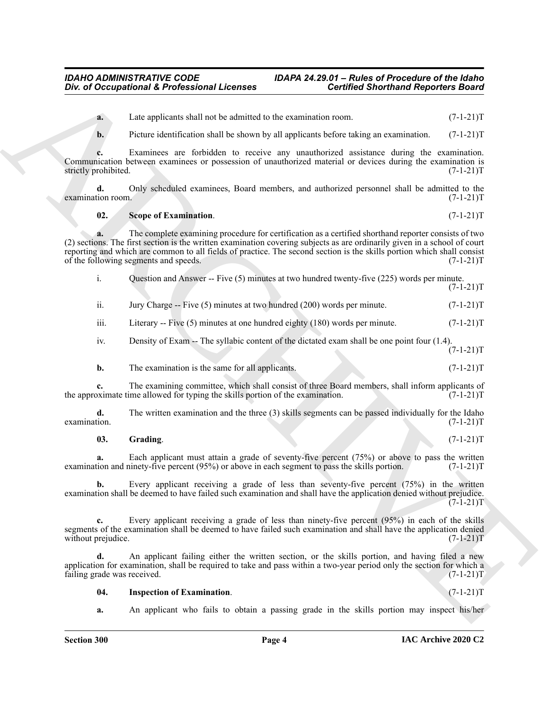#### <span id="page-3-2"></span>**02.** Scope of Examination. (7-1-21)T

| Div. of Occupational & Professional Licenses |                                                                                                                                                                                                                                                                                                                                                                                                      | <b>Certified Shorthand Reporters Board</b> |             |
|----------------------------------------------|------------------------------------------------------------------------------------------------------------------------------------------------------------------------------------------------------------------------------------------------------------------------------------------------------------------------------------------------------------------------------------------------------|--------------------------------------------|-------------|
| a.                                           | Late applicants shall not be admitted to the examination room.                                                                                                                                                                                                                                                                                                                                       |                                            | $(7-1-21)T$ |
| b.                                           | Picture identification shall be shown by all applicants before taking an examination.                                                                                                                                                                                                                                                                                                                |                                            | $(7-1-21)T$ |
| strictly prohibited.                         | Examinees are forbidden to receive any unauthorized assistance during the examination.<br>Communication between examinees or possession of unauthorized material or devices during the examination is                                                                                                                                                                                                |                                            | $(7-1-21)T$ |
| d.<br>examination room.                      | Only scheduled examinees, Board members, and authorized personnel shall be admitted to the                                                                                                                                                                                                                                                                                                           |                                            | $(7-1-21)T$ |
| 02.                                          | Scope of Examination.                                                                                                                                                                                                                                                                                                                                                                                |                                            | $(7-1-21)T$ |
| a.                                           | The complete examining procedure for certification as a certified shorthand reporter consists of two<br>(2) sections. The first section is the written examination covering subjects as are ordinarily given in a school of court<br>reporting and which are common to all fields of practice. The second section is the skills portion which shall consist<br>of the following segments and speeds. |                                            | $(7-1-21)T$ |
| i.                                           | Question and Answer -- Five (5) minutes at two hundred twenty-five (225) words per minute.                                                                                                                                                                                                                                                                                                           |                                            | $(7-1-21)T$ |
| ii.                                          | Jury Charge -- Five (5) minutes at two hundred (200) words per minute.                                                                                                                                                                                                                                                                                                                               |                                            | $(7-1-21)T$ |
| iii.                                         | Literary -- Five $(5)$ minutes at one hundred eighty $(180)$ words per minute.                                                                                                                                                                                                                                                                                                                       |                                            | $(7-1-21)T$ |
| iv.                                          | Density of Exam -- The syllabic content of the dictated exam shall be one point four (1.4).                                                                                                                                                                                                                                                                                                          |                                            | $(7-1-21)T$ |
| b.                                           | The examination is the same for all applicants.                                                                                                                                                                                                                                                                                                                                                      |                                            | $(7-1-21)T$ |
| c.                                           | The examining committee, which shall consist of three Board members, shall inform applicants of<br>the approximate time allowed for typing the skills portion of the examination.                                                                                                                                                                                                                    |                                            | $(7-1-21)T$ |
| d.<br>examination.                           | The written examination and the three (3) skills segments can be passed individually for the Idaho                                                                                                                                                                                                                                                                                                   |                                            | $(7-1-21)T$ |
| 03.                                          | Grading.                                                                                                                                                                                                                                                                                                                                                                                             |                                            | $(7-1-21)T$ |
| a.                                           | Each applicant must attain a grade of seventy-five percent (75%) or above to pass the written<br>examination and ninety-five percent (95%) or above in each segment to pass the skills portion.                                                                                                                                                                                                      |                                            | $(7-1-21)T$ |
|                                              | Every applicant receiving a grade of less than seventy-five percent (75%) in the written<br>examination shall be deemed to have failed such examination and shall have the application denied without prejudice.                                                                                                                                                                                     |                                            | $(7-1-21)T$ |
| c.<br>without prejudice.                     | Every applicant receiving a grade of less than ninety-five percent (95%) in each of the skills<br>segments of the examination shall be deemed to have failed such examination and shall have the application denied                                                                                                                                                                                  |                                            | $(7-1-21)T$ |
| d.<br>failing grade was received.            | An applicant failing either the written section, or the skills portion, and having filed a new<br>application for examination, shall be required to take and pass within a two-year period only the section for which a                                                                                                                                                                              |                                            | $(7-1-21)T$ |
|                                              | <b>Inspection of Examination.</b>                                                                                                                                                                                                                                                                                                                                                                    |                                            | $(7-1-21)T$ |
| 04.                                          |                                                                                                                                                                                                                                                                                                                                                                                                      |                                            |             |

#### <span id="page-3-0"></span>**03.** Grading. (7-1-21)T

#### <span id="page-3-1"></span>**04.** Inspection of Examination. (7-1-21)T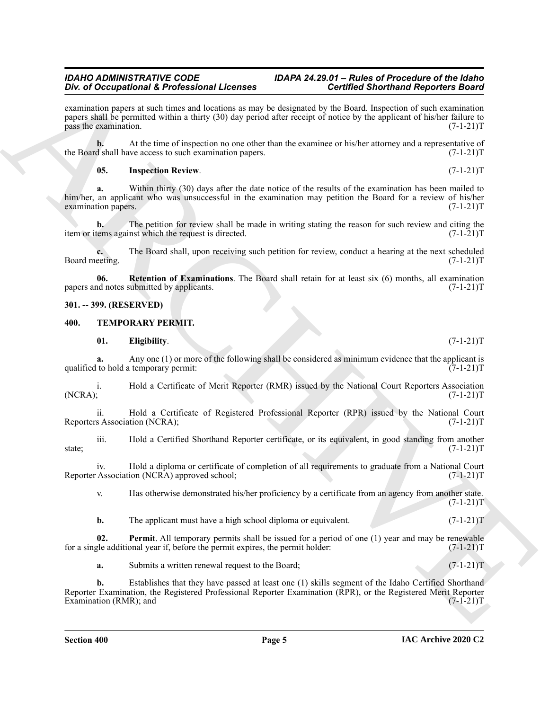## **Div. of Occupational & Professional Licenses**

For of Decoration of E-Revision and Leaderman and the state of the Minister State interaction and the state of the state of the state of the state of the state of the state of the state of the state of the state of the st examination papers at such times and locations as may be designated by the Board. Inspection of such examination papers shall be permitted within a thirty (30) day period after receipt of notice by the applicant of his/her failure to pass the examination. (7-1-21)T pass the examination.

**b.** At the time of inspection no one other than the examinee or his/her attorney and a representative of d shall have access to such examination papers.  $(7-1-21)$ the Board shall have access to such examination papers.

#### <span id="page-4-2"></span>**05. Inspection Review**. (7-1-21)T

**a.** Within thirty (30) days after the date notice of the results of the examination has been mailed to him/her, an applicant who was unsuccessful in the examination may petition the Board for a review of his/her examination papers. (7-1-21)T examination papers.

**b.** The petition for review shall be made in writing stating the reason for such review and citing the item or items against which the request is directed. (7-1-21)T

**c.** The Board shall, upon receiving such petition for review, conduct a hearing at the next scheduled eeting.  $(7-1-21)T$ Board meeting.

<span id="page-4-3"></span>**06. Retention of Examinations**. The Board shall retain for at least six (6) months, all examination of notes submitted by applicants. (7-1-21) papers and notes submitted by applicants.

#### <span id="page-4-0"></span>**301. -- 399. (RESERVED)**

#### <span id="page-4-4"></span><span id="page-4-1"></span>**400. TEMPORARY PERMIT.**

<span id="page-4-5"></span>**01. Eligibility**. (7-1-21)T **a.** Any one (1) or more of the following shall be considered as minimum evidence that the applicant is to hold a temporary permit:  $(7-1-21)T$ qualified to hold a temporary permit:

i. Hold a Certificate of Merit Reporter (RMR) issued by the National Court Reporters Association (NCRA); (7-1-21)T  $(NCRA);$  (7-1-21)T

ii. Hold a Certificate of Registered Professional Reporter (RPR) issued by the National Court s Association (NCRA); (7-1-21)T Reporters Association (NCRA);

iii. Hold a Certified Shorthand Reporter certificate, or its equivalent, in good standing from another state; (7-1-21)T

iv. Hold a diploma or certificate of completion of all requirements to graduate from a National Court Reporter Association (NCRA) approved school; (7-1-21) T

v. Has otherwise demonstrated his/her proficiency by a certificate from an agency from another state.  $(7-1-21)T$ 

<span id="page-4-6"></span>**b.** The applicant must have a high school diploma or equivalent. (7-1-21)

**02. Permit**. All temporary permits shall be issued for a period of one (1) year and may be renewable gle additional year if, before the permit expires, the permit holder: (7-1-21) for a single additional year if, before the permit expires, the permit holder:

**a.** Submits a written renewal request to the Board; (7-1-21)T

**b.** Establishes that they have passed at least one (1) skills segment of the Idaho Certified Shorthand Reporter Examination, the Registered Professional Reporter Examination (RPR), or the Registered Merit Reporter Examination (RMR); and (7-1-21)T Examination (RMR); and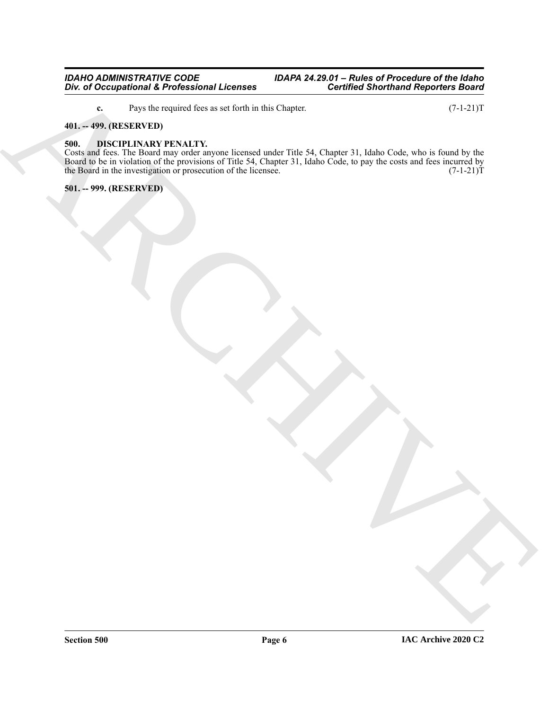<span id="page-5-3"></span>**c.** Pays the required fees as set forth in this Chapter. (7-1-21)T

#### <span id="page-5-0"></span>**401. -- 499. (RESERVED)**

#### <span id="page-5-1"></span>**500. DISCIPLINARY PENALTY.**

En di Occupationi L'Enchanteri Livense<br>
Control di Occupationi L'Enchanteri Livense<br>
Marchive (Statistica)<br>
Marchive (Statistica)<br>
Marchive (Statistica)<br>
Marchive (Statistica)<br>
Marchive (Statistica)<br>
Marchive (Statistica)<br> Costs and fees. The Board may order anyone licensed under Title 54, Chapter 31, Idaho Code, who is found by the Board to be in violation of the provisions of Title 54, Chapter 31, Idaho Code, to pay the costs and fees incurred by the Board in the investigation or prosecution of the licensee.  $(7-1-21)T$ 

<span id="page-5-2"></span>**501. -- 999. (RESERVED)**